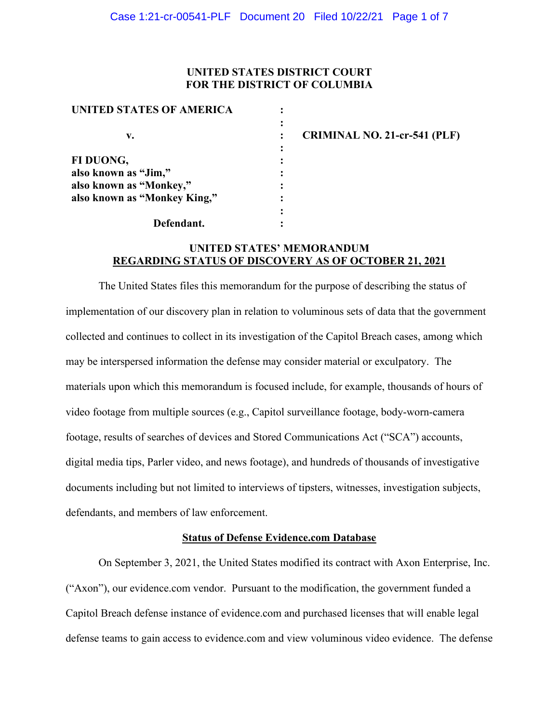### **UNITED STATES DISTRICT COURT FOR THE DISTRICT OF COLUMBIA**

| UNITED STATES OF AMERICA     |  |
|------------------------------|--|
|                              |  |
| v.                           |  |
|                              |  |
| FI DUONG,                    |  |
| also known as "Jim,"         |  |
| also known as "Monkey,"      |  |
| also known as "Monkey King," |  |
|                              |  |
| Defendant.                   |  |

**CRIMINAL NO. 21-cr-541 (PLF)**

# **UNITED STATES' MEMORANDUM REGARDING STATUS OF DISCOVERY AS OF OCTOBER 21, 2021**

The United States files this memorandum for the purpose of describing the status of implementation of our discovery plan in relation to voluminous sets of data that the government collected and continues to collect in its investigation of the Capitol Breach cases, among which may be interspersed information the defense may consider material or exculpatory. The materials upon which this memorandum is focused include, for example, thousands of hours of video footage from multiple sources (e.g., Capitol surveillance footage, body-worn-camera footage, results of searches of devices and Stored Communications Act ("SCA") accounts, digital media tips, Parler video, and news footage), and hundreds of thousands of investigative documents including but not limited to interviews of tipsters, witnesses, investigation subjects, defendants, and members of law enforcement.

## **Status of Defense Evidence.com Database**

On September 3, 2021, the United States modified its contract with Axon Enterprise, Inc. ("Axon"), our evidence.com vendor. Pursuant to the modification, the government funded a Capitol Breach defense instance of evidence.com and purchased licenses that will enable legal defense teams to gain access to evidence.com and view voluminous video evidence. The defense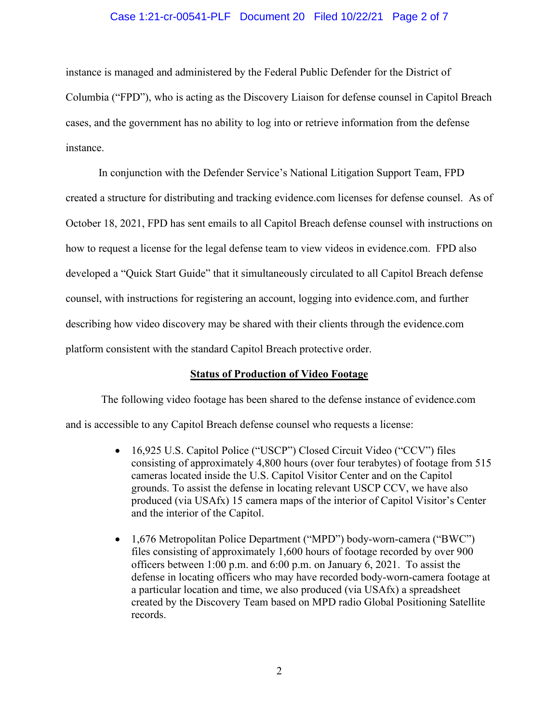#### Case 1:21-cr-00541-PLF Document 20 Filed 10/22/21 Page 2 of 7

instance is managed and administered by the Federal Public Defender for the District of Columbia ("FPD"), who is acting as the Discovery Liaison for defense counsel in Capitol Breach cases, and the government has no ability to log into or retrieve information from the defense instance.

In conjunction with the Defender Service's National Litigation Support Team, FPD created a structure for distributing and tracking evidence.com licenses for defense counsel. As of October 18, 2021, FPD has sent emails to all Capitol Breach defense counsel with instructions on how to request a license for the legal defense team to view videos in evidence.com. FPD also developed a "Quick Start Guide" that it simultaneously circulated to all Capitol Breach defense counsel, with instructions for registering an account, logging into evidence.com, and further describing how video discovery may be shared with their clients through the evidence.com platform consistent with the standard Capitol Breach protective order.

### **Status of Production of Video Footage**

The following video footage has been shared to the defense instance of evidence.com and is accessible to any Capitol Breach defense counsel who requests a license:

- 16,925 U.S. Capitol Police ("USCP") Closed Circuit Video ("CCV") files consisting of approximately 4,800 hours (over four terabytes) of footage from 515 cameras located inside the U.S. Capitol Visitor Center and on the Capitol grounds. To assist the defense in locating relevant USCP CCV, we have also produced (via USAfx) 15 camera maps of the interior of Capitol Visitor's Center and the interior of the Capitol.
- 1,676 Metropolitan Police Department ("MPD") body-worn-camera ("BWC") files consisting of approximately 1,600 hours of footage recorded by over 900 officers between 1:00 p.m. and 6:00 p.m. on January 6, 2021. To assist the defense in locating officers who may have recorded body-worn-camera footage at a particular location and time, we also produced (via USAfx) a spreadsheet created by the Discovery Team based on MPD radio Global Positioning Satellite records.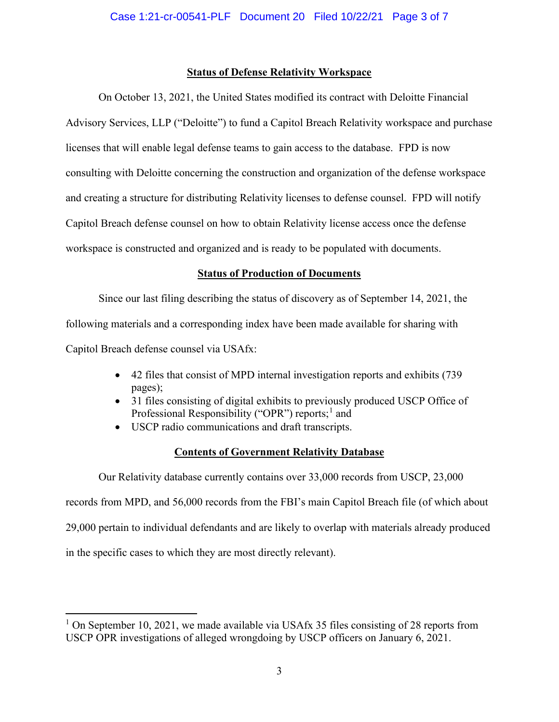## **Status of Defense Relativity Workspace**

On October 13, 2021, the United States modified its contract with Deloitte Financial Advisory Services, LLP ("Deloitte") to fund a Capitol Breach Relativity workspace and purchase licenses that will enable legal defense teams to gain access to the database. FPD is now consulting with Deloitte concerning the construction and organization of the defense workspace and creating a structure for distributing Relativity licenses to defense counsel. FPD will notify Capitol Breach defense counsel on how to obtain Relativity license access once the defense workspace is constructed and organized and is ready to be populated with documents.

# **Status of Production of Documents**

Since our last filing describing the status of discovery as of September 14, 2021, the following materials and a corresponding index have been made available for sharing with Capitol Breach defense counsel via USAfx:

- 42 files that consist of MPD internal investigation reports and exhibits (739 pages);
- 31 files consisting of digital exhibits to previously produced USCP Office of Professional Responsibility ("OPR") reports;<sup>1</sup> and
- USCP radio communications and draft transcripts.

# **Contents of Government Relativity Database**

Our Relativity database currently contains over 33,000 records from USCP, 23,000 records from MPD, and 56,000 records from the FBI's main Capitol Breach file (of which about 29,000 pertain to individual defendants and are likely to overlap with materials already produced in the specific cases to which they are most directly relevant).

<sup>&</sup>lt;sup>1</sup> On September 10, 2021, we made available via USAfx 35 files consisting of 28 reports from USCP OPR investigations of alleged wrongdoing by USCP officers on January 6, 2021.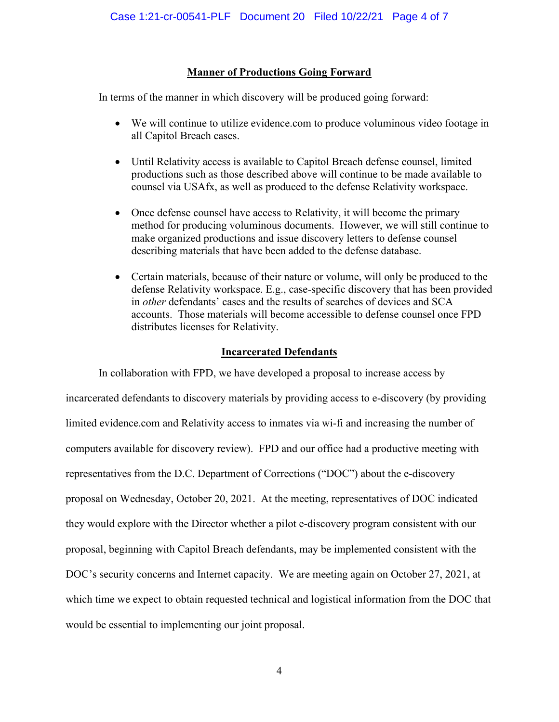## **Manner of Productions Going Forward**

In terms of the manner in which discovery will be produced going forward:

- We will continue to utilize evidence.com to produce voluminous video footage in all Capitol Breach cases.
- Until Relativity access is available to Capitol Breach defense counsel, limited productions such as those described above will continue to be made available to counsel via USAfx, as well as produced to the defense Relativity workspace.
- Once defense counsel have access to Relativity, it will become the primary method for producing voluminous documents. However, we will still continue to make organized productions and issue discovery letters to defense counsel describing materials that have been added to the defense database.
- Certain materials, because of their nature or volume, will only be produced to the defense Relativity workspace. E.g., case-specific discovery that has been provided in *other* defendants' cases and the results of searches of devices and SCA accounts. Those materials will become accessible to defense counsel once FPD distributes licenses for Relativity.

### **Incarcerated Defendants**

In collaboration with FPD, we have developed a proposal to increase access by incarcerated defendants to discovery materials by providing access to e-discovery (by providing limited evidence.com and Relativity access to inmates via wi-fi and increasing the number of computers available for discovery review). FPD and our office had a productive meeting with representatives from the D.C. Department of Corrections ("DOC") about the e-discovery proposal on Wednesday, October 20, 2021. At the meeting, representatives of DOC indicated they would explore with the Director whether a pilot e-discovery program consistent with our proposal, beginning with Capitol Breach defendants, may be implemented consistent with the DOC's security concerns and Internet capacity. We are meeting again on October 27, 2021, at which time we expect to obtain requested technical and logistical information from the DOC that would be essential to implementing our joint proposal.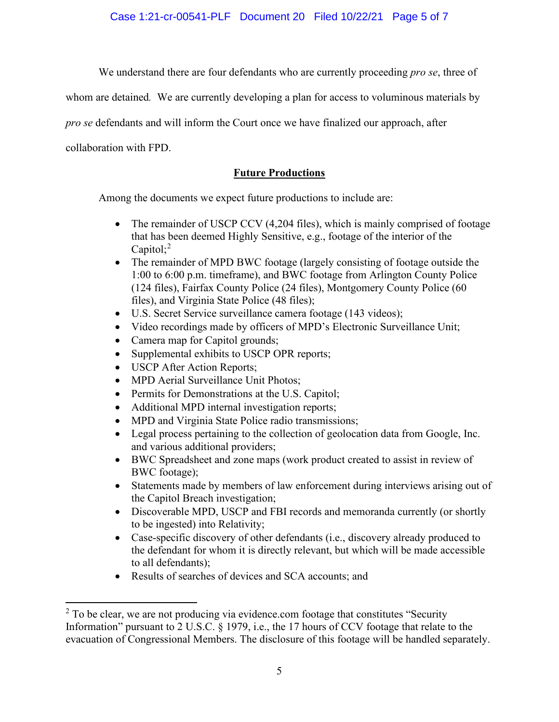Case 1:21-cr-00541-PLF Document 20 Filed 10/22/21 Page 5 of 7

We understand there are four defendants who are currently proceeding *pro se*, three of

whom are detained*.* We are currently developing a plan for access to voluminous materials by

*pro se* defendants and will inform the Court once we have finalized our approach, after

collaboration with FPD.

# **Future Productions**

Among the documents we expect future productions to include are:

- The remainder of USCP CCV (4,204 files), which is mainly comprised of footage that has been deemed Highly Sensitive, e.g., footage of the interior of the Capitol;<sup>2</sup>
- The remainder of MPD BWC footage (largely consisting of footage outside the 1:00 to 6:00 p.m. timeframe), and BWC footage from Arlington County Police (124 files), Fairfax County Police (24 files), Montgomery County Police (60 files), and Virginia State Police (48 files);
- U.S. Secret Service surveillance camera footage (143 videos);
- Video recordings made by officers of MPD's Electronic Surveillance Unit;
- Camera map for Capitol grounds;
- Supplemental exhibits to USCP OPR reports;
- USCP After Action Reports;
- MPD Aerial Surveillance Unit Photos;
- Permits for Demonstrations at the U.S. Capitol;
- Additional MPD internal investigation reports;
- MPD and Virginia State Police radio transmissions;
- Legal process pertaining to the collection of geolocation data from Google, Inc. and various additional providers;
- BWC Spreadsheet and zone maps (work product created to assist in review of BWC footage);
- Statements made by members of law enforcement during interviews arising out of the Capitol Breach investigation;
- Discoverable MPD, USCP and FBI records and memoranda currently (or shortly to be ingested) into Relativity;
- Case-specific discovery of other defendants (i.e., discovery already produced to the defendant for whom it is directly relevant, but which will be made accessible to all defendants);
- Results of searches of devices and SCA accounts; and

 $2$  To be clear, we are not producing via evidence.com footage that constitutes "Security Information" pursuant to 2 U.S.C. § 1979, i.e., the 17 hours of CCV footage that relate to the evacuation of Congressional Members. The disclosure of this footage will be handled separately.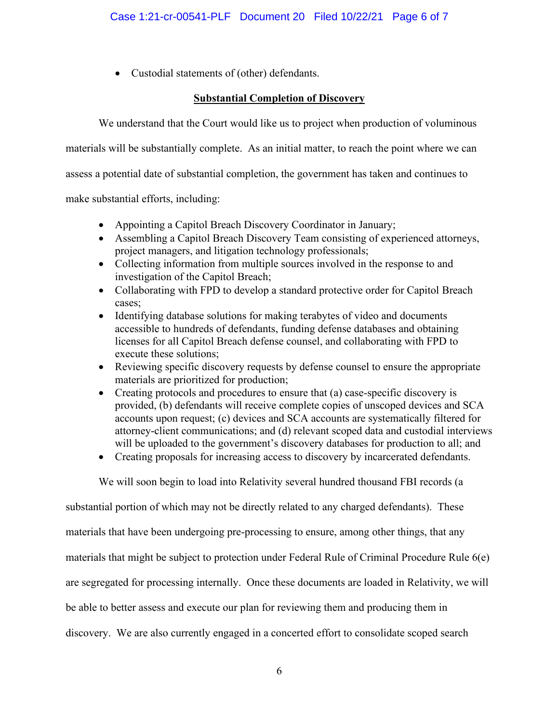• Custodial statements of (other) defendants.

# **Substantial Completion of Discovery**

We understand that the Court would like us to project when production of voluminous

materials will be substantially complete. As an initial matter, to reach the point where we can

assess a potential date of substantial completion, the government has taken and continues to

make substantial efforts, including:

- Appointing a Capitol Breach Discovery Coordinator in January;
- Assembling a Capitol Breach Discovery Team consisting of experienced attorneys, project managers, and litigation technology professionals;
- Collecting information from multiple sources involved in the response to and investigation of the Capitol Breach;
- Collaborating with FPD to develop a standard protective order for Capitol Breach cases;
- Identifying database solutions for making terabytes of video and documents accessible to hundreds of defendants, funding defense databases and obtaining licenses for all Capitol Breach defense counsel, and collaborating with FPD to execute these solutions;
- Reviewing specific discovery requests by defense counsel to ensure the appropriate materials are prioritized for production;
- Creating protocols and procedures to ensure that (a) case-specific discovery is provided, (b) defendants will receive complete copies of unscoped devices and SCA accounts upon request; (c) devices and SCA accounts are systematically filtered for attorney-client communications; and (d) relevant scoped data and custodial interviews will be uploaded to the government's discovery databases for production to all; and
- Creating proposals for increasing access to discovery by incarcerated defendants.

We will soon begin to load into Relativity several hundred thousand FBI records (a

substantial portion of which may not be directly related to any charged defendants). These materials that have been undergoing pre-processing to ensure, among other things, that any materials that might be subject to protection under Federal Rule of Criminal Procedure Rule 6(e) are segregated for processing internally. Once these documents are loaded in Relativity, we will be able to better assess and execute our plan for reviewing them and producing them in discovery. We are also currently engaged in a concerted effort to consolidate scoped search